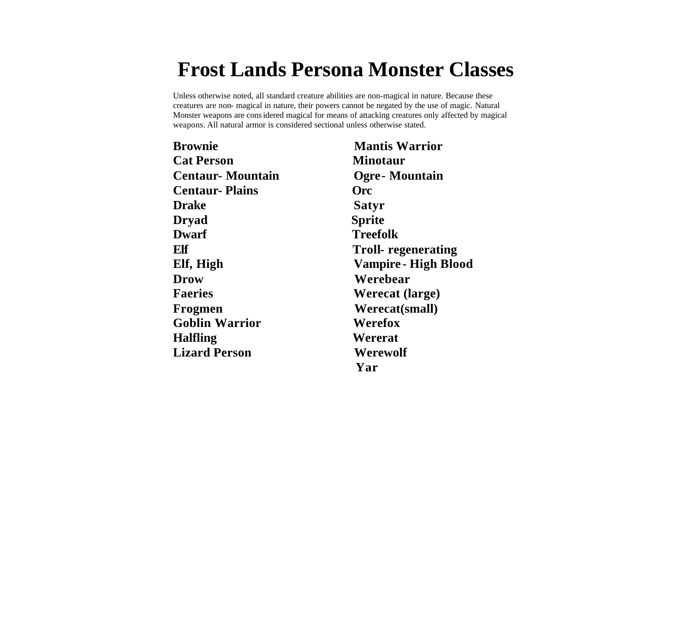# **Frost Lands Persona Monster Classes**

Unless otherwise noted, all standard creature abilities are non-magical in nature. Because these creatures are non- magical in nature, their powers cannot be negated by the use of magic. Natural Monster weapons are considered magical for means of attacking creatures only affected by magical weapons. All natural armor is considered sectional unless otherwise stated.

| <b>Brownie</b>          | <b>Mantis Warrior</b>       |
|-------------------------|-----------------------------|
| <b>Cat Person</b>       | <b>Minotaur</b>             |
| <b>Centaur-Mountain</b> | <b>Ogre-Mountain</b>        |
| <b>Centaur-Plains</b>   | <b>Orc</b>                  |
| <b>Drake</b>            | Satyr                       |
| <b>Dryad</b>            | <b>Sprite</b>               |
| <b>Dwarf</b>            | <b>Treefolk</b>             |
| Elf                     | Troll- regenerating         |
| Elf, High               | <b>Vampire - High Blood</b> |
| <b>Drow</b>             | Werebear                    |
| <b>Faeries</b>          | <b>Werecat (large)</b>      |
| Frogmen                 | Werecat(small)              |
| <b>Goblin Warrior</b>   | Werefox                     |
| <b>Halfling</b>         | Wererat                     |
| <b>Lizard Person</b>    | Werewolf                    |
|                         | Yar                         |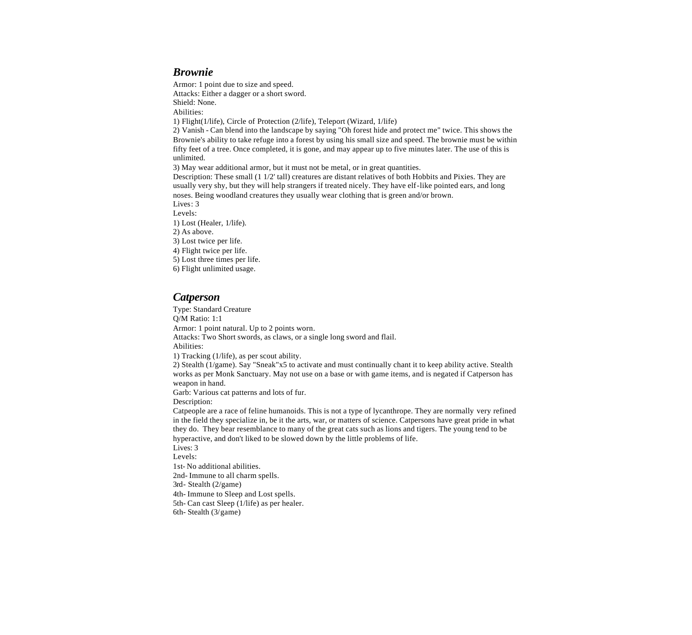#### *Brownie*

Armor: 1 point due to size and speed. Attacks: Either a dagger or a short sword. Shield: None. Abilities: 1) Flight(1/life), Circle of Protection (2/life), Teleport (Wizard, 1/life) 2) Vanish - Can blend into the landscape by saying "Oh forest hide and protect me" twice. This shows the

Brownie's ability to take refuge into a forest by using his small size and speed. The brownie must be within fifty feet of a tree. Once completed, it is gone, and may appear up to five minutes later. The use of this is unlimited.

3) May wear additional armor, but it must not be metal, or in great quantities.

Description: These small (1 1/2' tall) creatures are distant relatives of both Hobbits and Pixies. They are usually very shy, but they will help strangers if treated nicely. They have elf-like pointed ears, and long noses. Being woodland creatures they usually wear clothing that is green and/or brown.

Lives: 3

Levels:

1) Lost (Healer, 1/life).

2) As above.

3) Lost twice per life. 4) Flight twice per life.

5) Lost three times per life.

6) Flight unlimited usage.

## *Catperson*

Type: Standard Creature Q/M Ratio: 1:1 Armor: 1 point natural. Up to 2 points worn. Attacks: Two Short swords, as claws, or a single long sword and flail. Abilities: 1) Tracking (1/life), as per scout ability. 2) Stealth (1/game). Say "Sneak"x5 to activate and must continually chant it to keep ability active. Stealth works as per Monk Sanctuary. May not use on a base or with game items, and is negated if Catperson has weapon in hand. Garb: Various cat patterns and lots of fur. Description: Catpeople are a race of feline humanoids. This is not a type of lycanthrope. They are normally very refined in the field they specialize in, be it the arts, war, or matters of science. Catpersons have great pride in what they do. They bear resemblance to many of the great cats such as lions and tigers. The young tend to be hyperactive, and don't liked to be slowed down by the little problems of life. Lives: 3 Levels: 1st- No additional abilities. 2nd- Immune to all charm spells.

3rd- Stealth (2/game)

4th- Immune to Sleep and Lost spells.

5th- Can cast Sleep (1/life) as per healer.

6th- Stealth (3/game)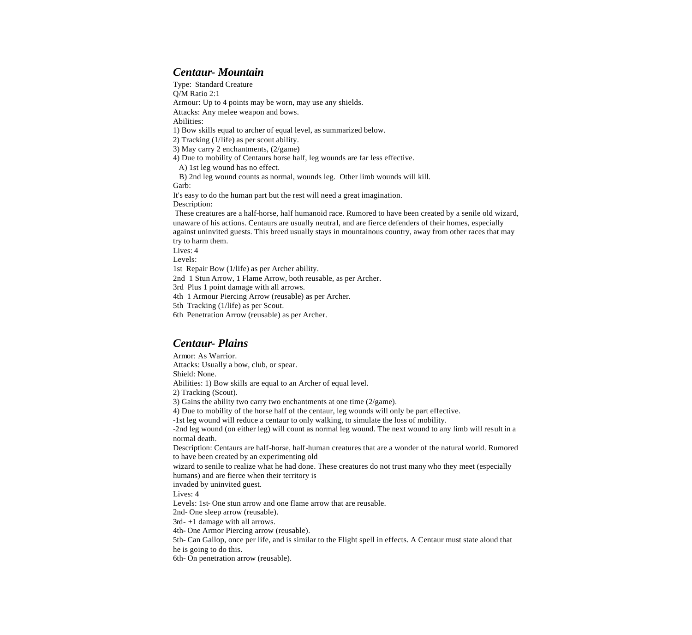## *Centaur- Mountain*

Type: Standard Creature Q/M Ratio 2:1 Armour: Up to 4 points may be worn, may use any shields. Attacks: Any melee weapon and bows. Abilities: 1) Bow skills equal to archer of equal level, as summarized below. 2) Tracking (1/life) as per scout ability. 3) May carry 2 enchantments, (2/game) 4) Due to mobility of Centaurs horse half, leg wounds are far less effective. A) 1st leg wound has no effect. B) 2nd leg wound counts as normal, wounds leg. Other limb wounds will kill. Garb: It's easy to do the human part but the rest will need a great imagination. Description: These creatures are a half-horse, half humanoid race. Rumored to have been created by a senile old wizard, unaware of his actions. Centaurs are usually neutral, and are fierce defenders of their homes, especially against uninvited guests. This breed usually stays in mountainous country, away from other races that may try to harm them. Lives: 4 Levels: 1st Repair Bow (1/life) as per Archer ability. 2nd 1 Stun Arrow, 1 Flame Arrow, both reusable, as per Archer. 3rd Plus 1 point damage with all arrows. 4th 1 Armour Piercing Arrow (reusable) as per Archer. 5th Tracking (1/life) as per Scout. 6th Penetration Arrow (reusable) as per Archer.

## *Centaur- Plains*

Armor: As Warrior. Attacks: Usually a bow, club, or spear. Shield: None. Abilities: 1) Bow skills are equal to an Archer of equal level. 2) Tracking (Scout). 3) Gains the ability two carry two enchantments at one time (2/game). 4) Due to mobility of the horse half of the centaur, leg wounds will only be part effective. -1st leg wound will reduce a centaur to only walking, to simulate the loss of mobility. -2nd leg wound (on either leg) will count as normal leg wound. The next wound to any limb will result in a normal death. Description: Centaurs are half-horse, half-human creatures that are a wonder of the natural world. Rumored to have been created by an experimenting old wizard to senile to realize what he had done. These creatures do not trust many who they meet (especially humans) and are fierce when their territory is invaded by uninvited guest. Lives: 4 Levels: 1st- One stun arrow and one flame arrow that are reusable. 2nd- One sleep arrow (reusable). 3rd- +1 damage with all arrows. 4th- One Armor Piercing arrow (reusable). 5th- Can Gallop, once per life, and is similar to the Flight spell in effects. A Centaur must state aloud that he is going to do this. 6th- On penetration arrow (reusable).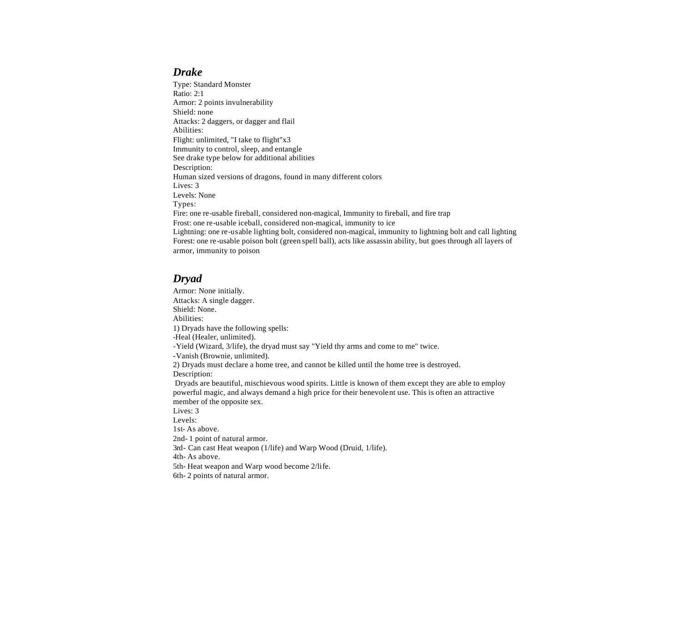#### *Drake*

Type: Standard Monster Ratio: 2:1 Armor: 2 points invulnerability Shield: none Attacks: 2 daggers, or dagger and flail Abilities: Flight: unlimited, "I take to flight"x3 Immunity to control, sleep, and entangle See drake type below for additional abilities Description: Human sized versions of dragons, found in many different colors Lives: 3 Levels: None Types: Fire: one re-usable fireball, considered non-magical, Immunity to fireball, and fire trap Frost: one re-usable iceball, considered non-magical, immunity to ice Lightning: one re-usable lighting bolt, considered non-magical, immunity to lightning bolt and call lighting Forest: one re-usable poison bolt (green spell ball), acts like assassin ability, but goes through all layers of armor, immunity to poison

# *Dryad*

Armor: None initially. Attacks: A single dagger. Shield: None. Abilities: 1) Dryads have the following spells: -Heal (Healer, unlimited). -Yield (Wizard, 3/life), the dryad must say "Yield thy arms and come to me" twice. -Vanish (Brownie, unlimited). 2) Dryads must declare a home tree, and cannot be killed until the home tree is destroyed. Description: Dryads are beautiful, mischievous wood spirits. Little is known of them except they are able to employ powerful magic, and always demand a high price for their benevolent use. This is often an attractive member of the opposite sex. Lives: 3 Levels: 1st- As above. 2nd- 1 point of natural armor. 3rd- Can cast Heat weapon (1/life) and Warp Wood (Druid, 1/life). 4th- As above.

5th- Heat weapon and Warp wood become 2/life.

6th- 2 points of natural armor.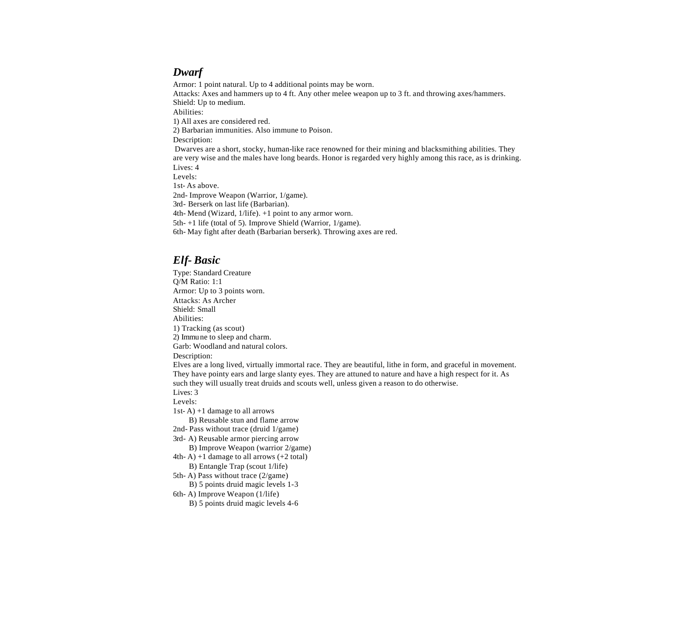## *Dwarf*

Armor: 1 point natural. Up to 4 additional points may be worn. Attacks: Axes and hammers up to 4 ft. Any other melee weapon up to 3 ft. and throwing axes/hammers. Shield: Up to medium. Abilities: 1) All axes are considered red. 2) Barbarian immunities. Also immune to Poison. Description: Dwarves are a short, stocky, human-like race renowned for their mining and blacksmithing abilities. They are very wise and the males have long beards. Honor is regarded very highly among this race, as is drinking. Lives: 4 Levels: 1st- As above. 2nd- Improve Weapon (Warrior, 1/game). 3rd- Berserk on last life (Barbarian). 4th- Mend (Wizard, 1/life). +1 point to any armor worn. 5th- +1 life (total of 5). Improve Shield (Warrior, 1/game). 6th- May fight after death (Barbarian berserk). Throwing axes are red.

## *Elf- Basic*

Type: Standard Creature Q/M Ratio: 1:1 Armor: Up to 3 points worn. Attacks: As Archer Shield: Small Abilities: 1) Tracking (as scout) 2) Immune to sleep and charm. Garb: Woodland and natural colors. Description: Elves are a long lived, virtually immortal race. They are beautiful, lithe in form, and graceful in movement. They have pointy ears and large slanty eyes. They are attuned to nature and have a high respect for it. As such they will usually treat druids and scouts well, unless given a reason to do otherwise. Lives: 3 Levels: 1st- A) +1 damage to all arrows B) Reusable stun and flame arrow 2nd- Pass without trace (druid 1/game) 3rd- A) Reusable armor piercing arrow B) Improve Weapon (warrior 2/game) 4th- A)  $+1$  damage to all arrows  $(+2 \text{ total})$  B) Entangle Trap (scout 1/life) 5th- A) Pass without trace (2/game) B) 5 points druid magic levels 1-3 6th- A) Improve Weapon (1/life)

B) 5 points druid magic levels 4-6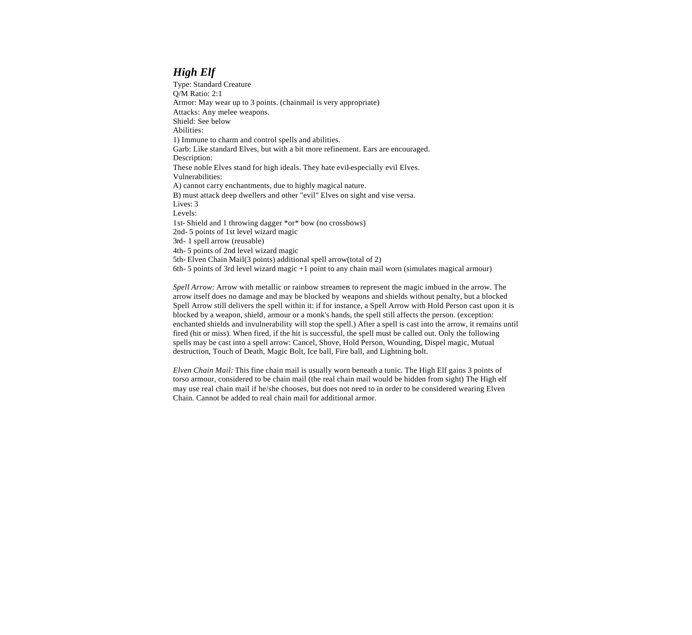# *High Elf*

Type: Standard Creature Q/M Ratio: 2:1 Armor: May wear up to 3 points. (chainmail is very appropriate) Attacks: Any melee weapons. Shield: See below Abilities: 1) Immune to charm and control spells and abilities. Garb: Like standard Elves, but with a bit more refinement. Ears are encouraged. Description: These noble Elves stand for high ideals. They hate evil-especially evil Elves. Vulnerabilities: A) cannot carry enchantments, due to highly magical nature. B) must attack deep dwellers and other "evil" Elves on sight and vise versa. Lives: 3 Levels: 1st- Shield and 1 throwing dagger \*or\* bow (no crossbows) 2nd- 5 points of 1st level wizard magic 3rd- 1 spell arrow (reusable) 4th- 5 points of 2nd level wizard magic 5th- Elven Chain Mail(3 points) additional spell arrow(total of 2) 6th- 5 points of 3rd level wizard magic +1 point to any chain mail worn (simulates magical armour)

*Spell Arrow:* Arrow with metallic or rainbow streamers to represent the magic imbued in the arrow. The arrow itself does no damage and may be blocked by weapons and shields without penalty, but a blocked Spell Arrow still delivers the spell within it: if for instance, a Spell Arrow with Hold Person cast upon it is blocked by a weapon, shield, armour or a monk's hands, the spell still affects the person. (exception: enchanted shields and invulnerability will stop the spell.) After a spell is cast into the arrow, it remains until fired (hit or miss). When fired, if the hit is successful, the spell must be called out. Only the following spells may be cast into a spell arrow: Cancel, Shove, Hold Person, Wounding, Dispel magic, Mutual destruction, Touch of Death, Magic Bolt, Ice ball, Fire ball, and Lightning bolt.

*Elven Chain Mail:* This fine chain mail is usually worn beneath a tunic. The High Elf gains 3 points of torso armour, considered to be chain mail (the real chain mail would be hidden from sight) The High elf may use real chain mail if he/she chooses, but does not need to in order to be considered wearing Elven Chain. Cannot be added to real chain mail for additional armor.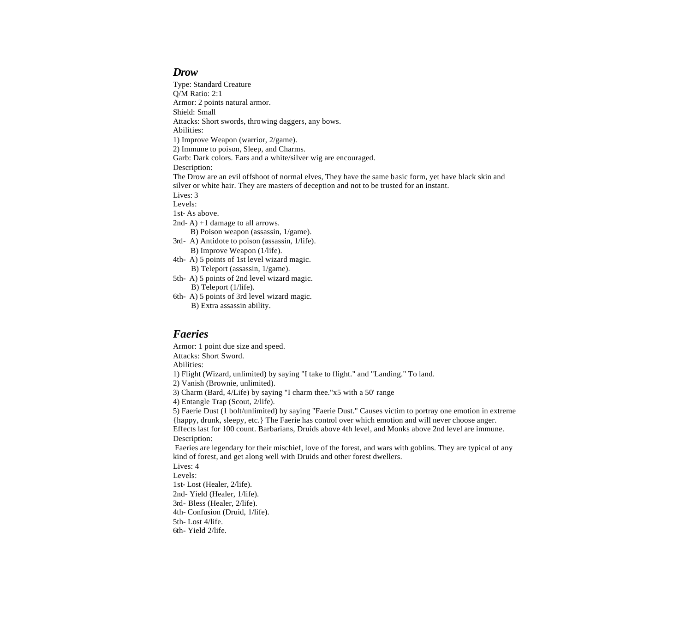#### *Drow*

Type: Standard Creature Q/M Ratio: 2:1 Armor: 2 points natural armor. Shield: Small Attacks: Short swords, throwing daggers, any bows. Abilities: 1) Improve Weapon (warrior, 2/game). 2) Immune to poison, Sleep, and Charms. Garb: Dark colors. Ears and a white/silver wig are encouraged. Description: The Drow are an evil offshoot of normal elves, They have the same basic form, yet have black skin and silver or white hair. They are masters of deception and not to be trusted for an instant. Lives: 3 Levels: 1st- As above. 2nd- A) +1 damage to all arrows. B) Poison weapon (assassin, 1/game). 3rd- A) Antidote to poison (assassin, 1/life). B) Improve Weapon (1/life). 4th- A) 5 points of 1st level wizard magic. B) Teleport (assassin, 1/game). 5th- A) 5 points of 2nd level wizard magic.

B) Teleport (1/life).

6th- A) 5 points of 3rd level wizard magic. B) Extra assassin ability.

#### *Faeries*

Armor: 1 point due size and speed. Attacks: Short Sword. Abilities: 1) Flight (Wizard, unlimited) by saying "I take to flight." and "Landing." To land. 2) Vanish (Brownie, unlimited). 3) Charm (Bard, 4/Life) by saying "I charm thee."x5 with a 50' range 4) Entangle Trap (Scout, 2/life). 5) Faerie Dust (1 bolt/unlimited) by saying "Faerie Dust." Causes victim to portray one emotion in extreme {happy, drunk, sleepy, etc.} The Faerie has control over which emotion and will never choose anger. Effects last for 100 count. Barbarians, Druids above 4th level, and Monks above 2nd level are immune. Description: Faeries are legendary for their mischief, love of the forest, and wars with goblins. They are typical of any kind of forest, and get along well with Druids and other forest dwellers. Lives: 4 Levels: 1st- Lost (Healer, 2/life). 2nd- Yield (Healer, 1/life). 3rd- Bless (Healer, 2/life). 4th- Confusion (Druid, 1/life).

5th- Lost 4/life.

6th- Yield 2/life.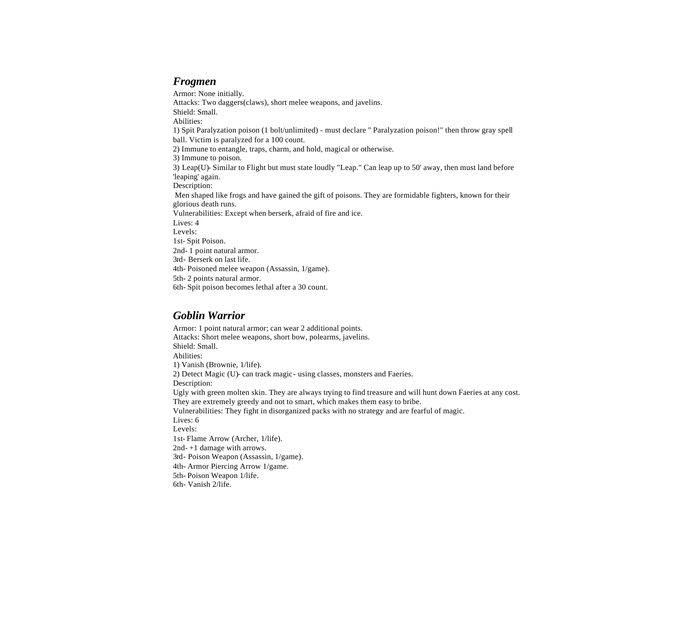#### *Frogmen*

Armor: None initially. Attacks: Two daggers(claws), short melee weapons, and javelins. Shield: Small. Abilities: 1) Spit Paralyzation poison (1 bolt/unlimited) - must declare " Paralyzation poison!" then throw gray spell ball. Victim is paralyzed for a 100 count. 2) Immune to entangle, traps, charm, and hold, magical or otherwise. 3) Immune to poison. 3) Leap(U)- Similar to Flight but must state loudly "Leap." Can leap up to 50' away, then must land before 'leaping' again. Description: Men shaped like frogs and have gained the gift of poisons. They are formidable fighters, known for their glorious death runs. Vulnerabilities: Except when berserk, afraid of fire and ice. Lives: 4 Levels: 1st- Spit Poison. 2nd- 1 point natural armor. 3rd- Berserk on last life. 4th- Poisoned melee weapon (Assassin, 1/game). 5th- 2 points natural armor. 6th- Spit poison becomes lethal after a 30 count.

## *Goblin Warrior*

Armor: 1 point natural armor; can wear 2 additional points. Attacks: Short melee weapons, short bow, polearms, javelins. Shield: Small. Abilities: 1) Vanish (Brownie, 1/life). 2) Detect Magic (U)- can track magic- using classes, monsters and Faeries. Description: Ugly with green molten skin. They are always trying to find treasure and will hunt down Faeries at any cost. They are extremely greedy and not to smart, which makes them easy to bribe. Vulnerabilities: They fight in disorganized packs with no strategy and are fearful of magic. Lives: 6 Levels: 1st- Flame Arrow (Archer, 1/life). 2nd- +1 damage with arrows. 3rd- Poison Weapon (Assassin, 1/game). 4th- Armor Piercing Arrow 1/game. 5th- Poison Weapon 1/life. 6th- Vanish 2/life.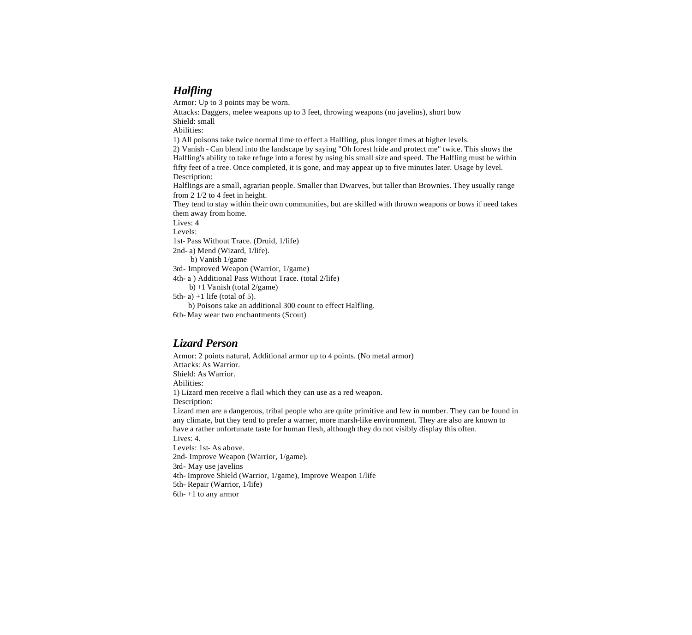# *Halfling*

Armor: Up to 3 points may be worn. Attacks: Daggers, melee weapons up to 3 feet, throwing weapons (no javelins), short bow Shield: small Abilities: 1) All poisons take twice normal time to effect a Halfling, plus longer times at higher levels. 2) Vanish - Can blend into the landscape by saying "Oh forest hide and protect me" twice. This shows the Halfling's ability to take refuge into a forest by using his small size and speed. The Halfling must be within fifty feet of a tree. Once completed, it is gone, and may appear up to five minutes later. Usage by level. Description: Halflings are a small, agrarian people. Smaller than Dwarves, but taller than Brownies. They usually range from 2 1/2 to 4 feet in height. They tend to stay within their own communities, but are skilled with thrown weapons or bows if need takes them away from home. Lives: 4 Levels: 1st- Pass Without Trace. (Druid, 1/life) 2nd- a) Mend (Wizard, 1/life). b) Vanish 1/game 3rd- Improved Weapon (Warrior, 1/game) 4th- a ) Additional Pass Without Trace. (total 2/life) b) +1 Vanish (total 2/game) 5th- a)  $+1$  life (total of 5). b) Poisons take an additional 300 count to effect Halfling.

6th- May wear two enchantments (Scout)

## *Lizard Person*

Armor: 2 points natural, Additional armor up to 4 points. (No metal armor) Attacks: As Warrior. Shield: As Warrior. Abilities: 1) Lizard men receive a flail which they can use as a red weapon. Description: Lizard men are a dangerous, tribal people who are quite primitive and few in number. They can be found in any climate, but they tend to prefer a warner, more marsh-like environment. They are also are known to have a rather unfortunate taste for human flesh, although they do not visibly display this often. Lives: 4. Levels: 1st- As above. 2nd- Improve Weapon (Warrior, 1/game). 3rd- May use javelins 4th- Improve Shield (Warrior, 1/game), Improve Weapon 1/life 5th- Repair (Warrior, 1/life) 6th- +1 to any armor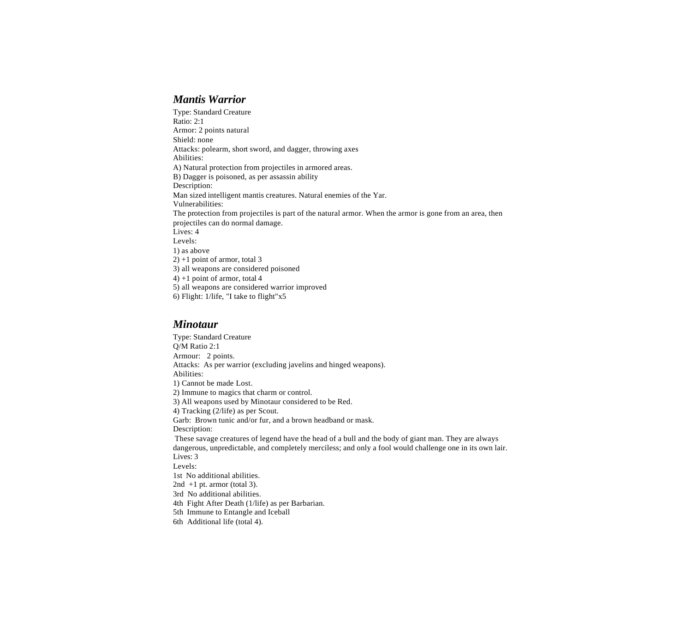#### *Mantis Warrior*

Type: Standard Creature Ratio: 2:1 Armor: 2 points natural Shield: none Attacks: polearm, short sword, and dagger, throwing axes Abilities: A) Natural protection from projectiles in armored areas. B) Dagger is poisoned, as per assassin ability Description: Man sized intelligent mantis creatures. Natural enemies of the Yar. Vulnerabilities: The protection from projectiles is part of the natural armor. When the armor is gone from an area, then projectiles can do normal damage. Lives: 4 Levels: 1) as above 2) +1 point of armor, total 3 3) all weapons are considered poisoned 4) +1 point of armor, total 4 5) all weapons are considered warrior improved 6) Flight: 1/life, "I take to flight"x5

#### *Minotaur*

Type: Standard Creature Q/M Ratio 2:1 Armour: 2 points. Attacks: As per warrior (excluding javelins and hinged weapons). Abilities: 1) Cannot be made Lost. 2) Immune to magics that charm or control. 3) All weapons used by Minotaur considered to be Red. 4) Tracking (2/life) as per Scout. Garb: Brown tunic and/or fur, and a brown headband or mask. Description: These savage creatures of legend have the head of a bull and the body of giant man. They are always dangerous, unpredictable, and completely merciless; and only a fool would challenge one in its own lair. Lives: 3 Levels: 1st No additional abilities. 2nd  $+1$  pt. armor (total 3). 3rd No additional abilities. 4th Fight After Death (1/life) as per Barbarian. 5th Immune to Entangle and Iceball 6th Additional life (total 4).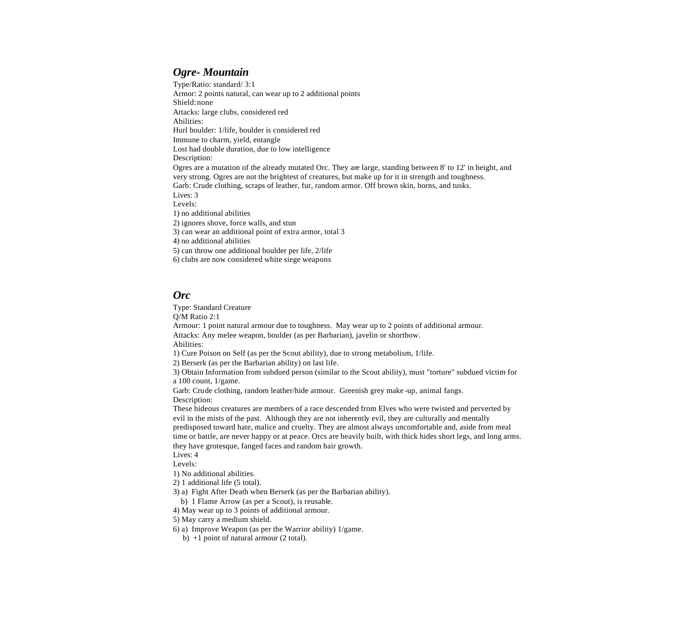## *Ogre- Mountain*

Type/Ratio: standard/ 3:1 Armor: 2 points natural, can wear up to 2 additional points Shield: none Attacks: large clubs, considered red Abilities: Hurl boulder: 1/life, boulder is considered red Immune to charm, yield, entangle Lost had double duration, due to low intelligence Description: Ogres are a mutation of the already mutated Orc. They are large, standing between 8' to 12' in height, and very strong. Ogres are not the brightest of creatures, but make up for it in strength and toughness. Garb: Crude clothing, scraps of leather, fur, random armor. Off brown skin, horns, and tusks. Lives: 3 Levels: 1) no additional abilities 2) ignores shove, force walls, and stun 3) can wear an additional point of extra armor, total 3 4) no additional abilities 5) can throw one additional boulder per life, 2/life

6) clubs are now considered white siege weapons

#### *Orc*

Type: Standard Creature

Q/M Ratio 2:1

Armour: 1 point natural armour due to toughness. May wear up to 2 points of additional armour. Attacks: Any melee weapon, boulder (as per Barbarian), javelin or shortbow.

Abilities:

1) Cure Poison on Self (as per the Scout ability), due to strong metabolism, 1/life.

2) Berserk (as per the Barbarian ability) on last life.

3) Obtain Information from subdued person (similar to the Scout ability), must "torture" subdued victim for a 100 count, 1/game.

Garb: Crude clothing, random leather/hide armour. Greenish grey make -up, animal fangs. Description:

These hideous creatures are members of a race descended from Elves who were twisted and perverted by evil in the mists of the past. Although they are not inherently evil, they are culturally and mentally predisposed toward hate, malice and cruelty. They are almost always uncomfortable and, aside from meal time or battle, are never happy or at peace. Orcs are heavily built, with thick hides short legs, and long arms. they have grotesque, fanged faces and random hair growth.

Lives: 4

Levels:

1) No additional abilities.

2) 1 additional life (5 total).

3) a) Fight After Death when Berserk (as per the Barbarian ability).

b) 1 Flame Arrow (as per a Scout), is reusable.

4) May wear up to 3 points of additional armour.

5) May carry a medium shield.

6) a) Improve Weapon (as per the Warrior ability) 1/game.

b) +1 point of natural armour (2 total).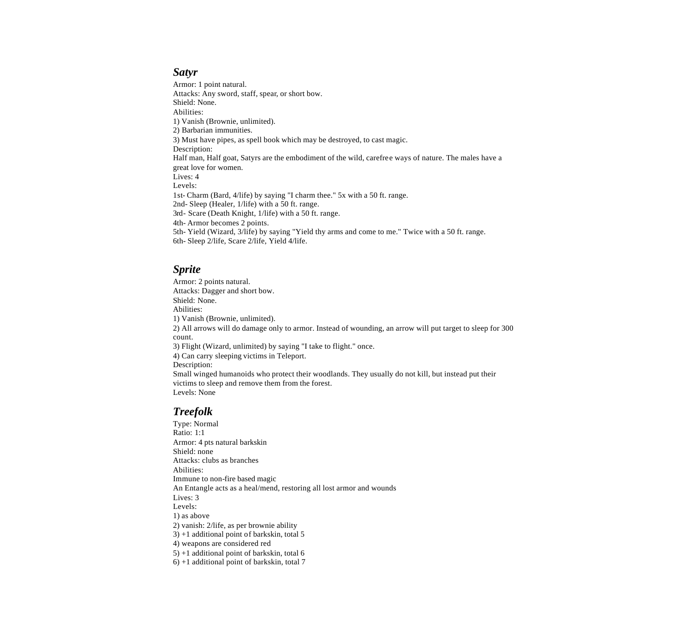#### *Satyr*

Armor: 1 point natural. Attacks: Any sword, staff, spear, or short bow. Shield: None. Abilities: 1) Vanish (Brownie, unlimited). 2) Barbarian immunities. 3) Must have pipes, as spell book which may be destroyed, to cast magic. Description: Half man, Half goat, Satyrs are the embodiment of the wild, carefree ways of nature. The males have a great love for women. Lives: 4 Levels: 1st- Charm (Bard, 4/life) by saying "I charm thee." 5x with a 50 ft. range. 2nd- Sleep (Healer, 1/life) with a 50 ft. range. 3rd- Scare (Death Knight, 1/life) with a 50 ft. range. 4th- Armor becomes 2 points. 5th- Yield (Wizard, 3/life) by saying "Yield thy arms and come to me." Twice with a 50 ft. range. 6th- Sleep 2/life, Scare 2/life, Yield 4/life.

#### *Sprite*

Armor: 2 points natural. Attacks: Dagger and short bow. Shield: None. Abilities: 1) Vanish (Brownie, unlimited). 2) All arrows will do damage only to armor. Instead of wounding, an arrow will put target to sleep for 300 count. 3) Flight (Wizard, unlimited) by saying "I take to flight." once. 4) Can carry sleeping victims in Teleport. Description: Small winged humanoids who protect their woodlands. They usually do not kill, but instead put their victims to sleep and remove them from the forest. Levels: None

## *Treefolk*

Type: Normal Ratio: 1:1 Armor: 4 pts natural barkskin Shield: none Attacks: clubs as branches Abilities: Immune to non-fire based magic An Entangle acts as a heal/mend, restoring all lost armor and wounds Lives: 3 Levels: 1) as above 2) vanish: 2/life, as per brownie ability 3) +1 additional point of barkskin, total 5 4) weapons are considered red 5) +1 additional point of barkskin, total 6 6) +1 additional point of barkskin, total 7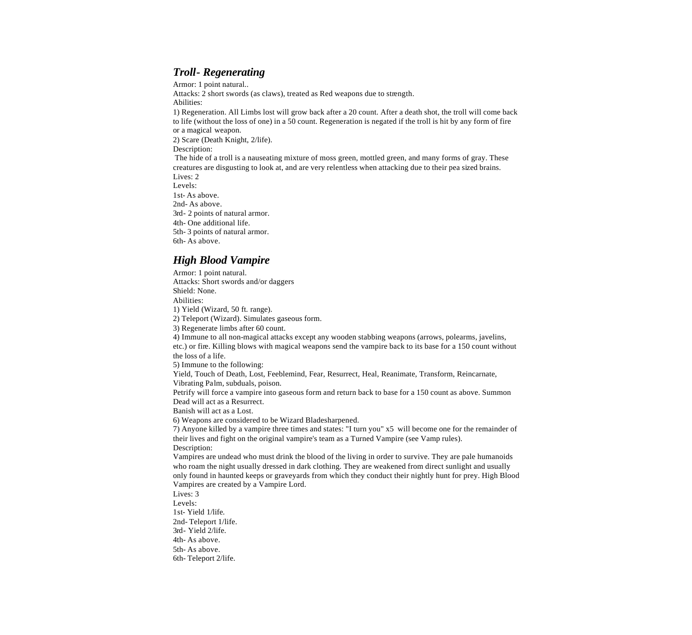# *Troll- Regenerating*

Armor: 1 point natural.. Attacks: 2 short swords (as claws), treated as Red weapons due to strength. Abilities: 1) Regeneration. All Limbs lost will grow back after a 20 count. After a death shot, the troll will come back to life (without the loss of one) in a 50 count. Regeneration is negated if the troll is hit by any form of fire or a magical weapon. 2) Scare (Death Knight, 2/life). Description: The hide of a troll is a nauseating mixture of moss green, mottled green, and many forms of gray. These creatures are disgusting to look at, and are very relentless when attacking due to their pea sized brains. Lives: 2 Levels: 1st- As above. 2nd- As above. 3rd- 2 points of natural armor. 4th- One additional life. 5th- 3 points of natural armor. 6th- As above.

#### *High Blood Vampire*

Armor: 1 point natural. Attacks: Short swords and/or daggers Shield: None. Abilities: 1) Yield (Wizard, 50 ft. range). 2) Teleport (Wizard). Simulates gaseous form. 3) Regenerate limbs after 60 count. 4) Immune to all non-magical attacks except any wooden stabbing weapons (arrows, polearms, javelins, etc.) or fire. Killing blows with magical weapons send the vampire back to its base for a 150 count without the loss of a life. 5) Immune to the following: Yield, Touch of Death, Lost, Feeblemind, Fear, Resurrect, Heal, Reanimate, Transform, Reincarnate, Vibrating Palm, subduals, poison. Petrify will force a vampire into gaseous form and return back to base for a 150 count as above. Summon Dead will act as a Resurrect. Banish will act as a Lost. 6) Weapons are considered to be Wizard Bladesharpened. 7) Anyone killed by a vampire three times and states: "I turn you" x5 will become one for the remainder of their lives and fight on the original vampire's team as a Turned Vampire (see Vamp rules). Description: Vampires are undead who must drink the blood of the living in order to survive. They are pale humanoids who roam the night usually dressed in dark clothing. They are weakened from direct sunlight and usually only found in haunted keeps or graveyards from which they conduct their nightly hunt for prey. High Blood Vampires are created by a Vampire Lord. Lives: 3 Levels: 1st- Yield 1/life. 2nd- Teleport 1/life. 3rd- Yield 2/life. 4th- As above. 5th- As above. 6th- Teleport 2/life.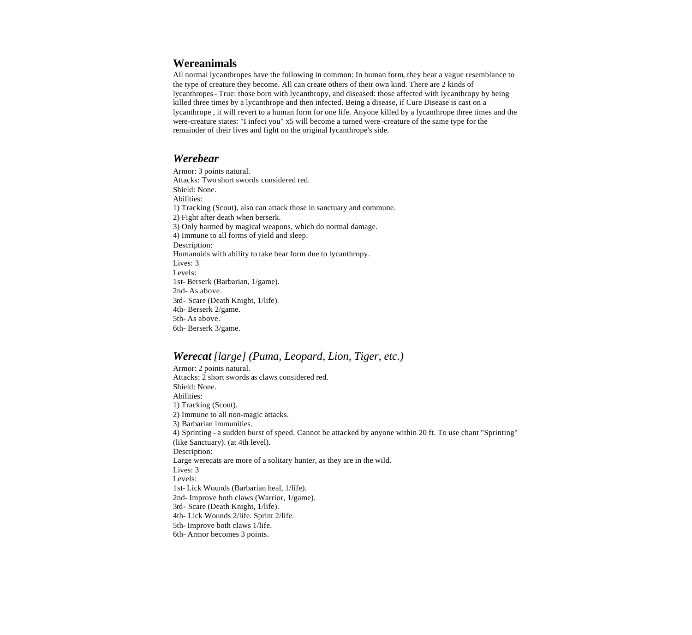## **Wereanimals**

All normal lycanthropes have the following in common: In human form, they bear a vague resemblance to the type of creature they become. All can create others of their own kind. There are 2 kinds of lycanthropes- True: those born with lycanthropy, and diseased: those affected with lycanthropy by being killed three times by a lycanthrope and then infected. Being a disease, if Cure Disease is cast on a lycanthrope , it will revert to a human form for one life. Anyone killed by a lycanthrope three times and the were-creature states: "I infect you" x5 will become a turned were -creature of the same type for the remainder of their lives and fight on the original lycanthrope's side.

#### *Werebear*

Armor: 3 points natural. Attacks: Two short swords considered red. Shield: None. Abilities: 1) Tracking (Scout), also can attack those in sanctuary and commune. 2) Fight after death when berserk. 3) Only harmed by magical weapons, which do normal damage. 4) Immune to all forms of yield and sleep. Description: Humanoids with ability to take bear form due to lycanthropy. Lives: 3 Levels: 1st- Berserk (Barbarian, 1/game). 2nd- As above. 3rd- Scare (Death Knight, 1/life). 4th- Berserk 2/game. 5th- As above. 6th- Berserk 3/game.

## *Werecat [large] (Puma, Leopard, Lion, Tiger, etc.)*

Armor: 2 points natural. Attacks: 2 short swords as claws considered red. Shield: None. Abilities: 1) Tracking (Scout). 2) Immune to all non-magic attacks. 3) Barbarian immunities. 4) Sprinting - a sudden burst of speed. Cannot be attacked by anyone within 20 ft. To use chant "Sprinting" (like Sanctuary). (at 4th level). Description: Large werecats are more of a solitary hunter, as they are in the wild. Lives: 3 Levels: 1st- Lick Wounds (Barbarian heal, 1/life). 2nd- Improve both claws (Warrior, 1/game). 3rd- Scare (Death Knight, 1/life). 4th- Lick Wounds 2/life. Sprint 2/life. 5th- Improve both claws 1/life. 6th- Armor becomes 3 points.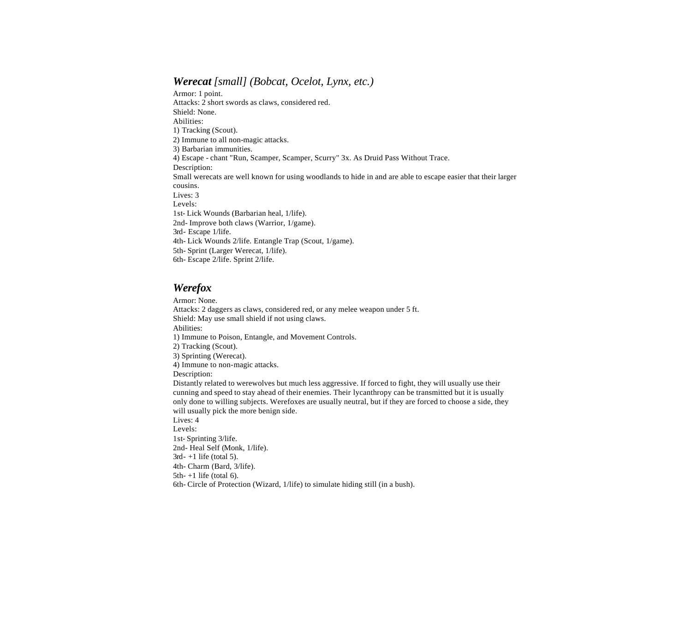# *Werecat [small] (Bobcat, Ocelot, Lynx, etc.)*

Armor: 1 point. Attacks: 2 short swords as claws, considered red. Shield: None. Abilities: 1) Tracking (Scout). 2) Immune to all non-magic attacks. 3) Barbarian immunities. 4) Escape - chant "Run, Scamper, Scamper, Scurry" 3x. As Druid Pass Without Trace. Description: Small werecats are well known for using woodlands to hide in and are able to escape easier that their larger cousins. Lives: 3 Levels: 1st- Lick Wounds (Barbarian heal, 1/life). 2nd- Improve both claws (Warrior, 1/game). 3rd- Escape 1/life. 4th- Lick Wounds 2/life. Entangle Trap (Scout, 1/game). 5th- Sprint (Larger Werecat, 1/life). 6th- Escape 2/life. Sprint 2/life.

# *Werefox*

Armor: None. Attacks: 2 daggers as claws, considered red, or any melee weapon under 5 ft. Shield: May use small shield if not using claws. Abilities: 1) Immune to Poison, Entangle, and Movement Controls. 2) Tracking (Scout). 3) Sprinting (Werecat). 4) Immune to non-magic attacks. Description: Distantly related to werewolves but much less aggressive. If forced to fight, they will usually use their cunning and speed to stay ahead of their enemies. Their lycanthropy can be transmitted but it is usually only done to willing subjects. Werefoxes are usually neutral, but if they are forced to choose a side, they will usually pick the more benign side. Lives: 4 Levels: 1st- Sprinting 3/life. 2nd- Heal Self (Monk, 1/life).  $3rd-+1$  life (total 5). 4th- Charm (Bard, 3/life). 5th- $+1$  life (total 6). 6th- Circle of Protection (Wizard, 1/life) to simulate hiding still (in a bush).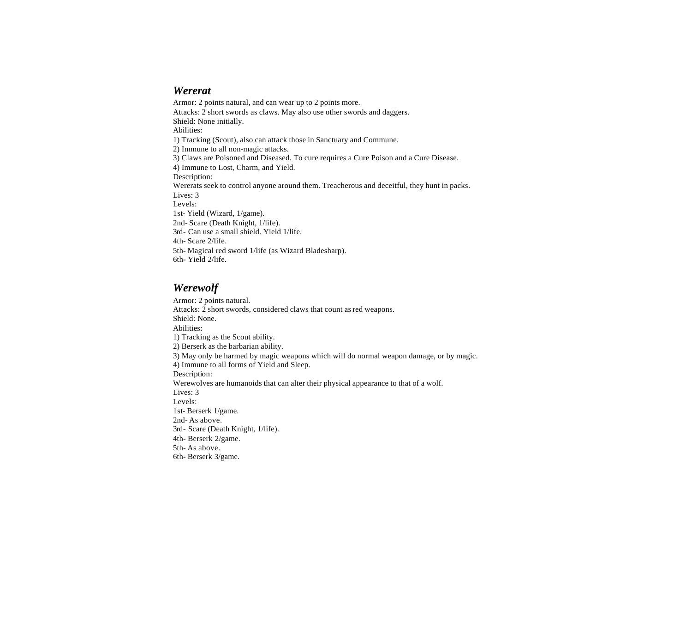## *Wererat*

Armor: 2 points natural, and can wear up to 2 points more. Attacks: 2 short swords as claws. May also use other swords and daggers. Shield: None initially. Abilities: 1) Tracking (Scout), also can attack those in Sanctuary and Commune. 2) Immune to all non-magic attacks. 3) Claws are Poisoned and Diseased. To cure requires a Cure Poison and a Cure Disease. 4) Immune to Lost, Charm, and Yield. Description: Wererats seek to control anyone around them. Treacherous and deceitful, they hunt in packs. Lives: 3 Levels: 1st- Yield (Wizard, 1/game). 2nd- Scare (Death Knight, 1/life). 3rd- Can use a small shield. Yield 1/life. 4th- Scare 2/life. 5th- Magical red sword 1/life (as Wizard Bladesharp). 6th- Yield 2/life.

# *Werewolf*

Armor: 2 points natural. Attacks: 2 short swords, considered claws that count as red weapons. Shield: None. Abilities: 1) Tracking as the Scout ability. 2) Berserk as the barbarian ability. 3) May only be harmed by magic weapons which will do normal weapon damage, or by magic. 4) Immune to all forms of Yield and Sleep. Description: Werewolves are humanoids that can alter their physical appearance to that of a wolf. Lives: 3 Levels: 1st- Berserk 1/game. 2nd- As above. 3rd- Scare (Death Knight, 1/life). 4th- Berserk 2/game. 5th- As above. 6th- Berserk 3/game.